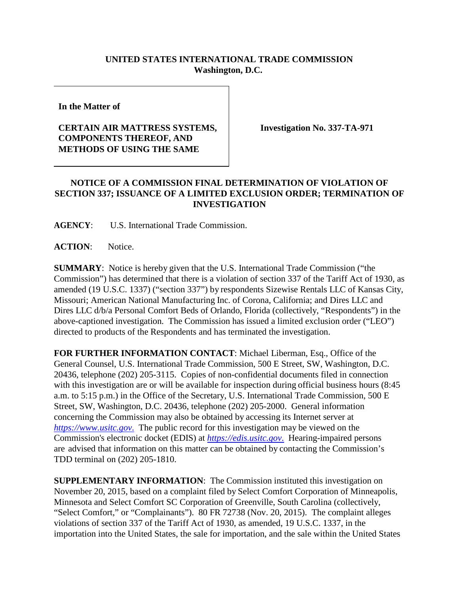## **UNITED STATES INTERNATIONAL TRADE COMMISSION Washington, D.C.**

**In the Matter of**

## **CERTAIN AIR MATTRESS SYSTEMS, COMPONENTS THEREOF, AND METHODS OF USING THE SAME**

**Investigation No. 337-TA-971**

## **NOTICE OF A COMMISSION FINAL DETERMINATION OF VIOLATION OF SECTION 337; ISSUANCE OF A LIMITED EXCLUSION ORDER; TERMINATION OF INVESTIGATION**

**AGENCY**: U.S. International Trade Commission.

**ACTION**: Notice.

**SUMMARY**: Notice is hereby given that the U.S. International Trade Commission ("the Commission") has determined that there is a violation of section 337 of the Tariff Act of 1930, as amended (19 U.S.C. 1337) ("section 337") by respondents Sizewise Rentals LLC of Kansas City, Missouri; American National Manufacturing Inc. of Corona, California; and Dires LLC and Dires LLC d/b/a Personal Comfort Beds of Orlando, Florida (collectively, "Respondents") in the above-captioned investigation. The Commission has issued a limited exclusion order ("LEO") directed to products of the Respondents and has terminated the investigation.

**FOR FURTHER INFORMATION CONTACT**: Michael Liberman, Esq., Office of the General Counsel, U.S. International Trade Commission, 500 E Street, SW, Washington, D.C. 20436, telephone (202) 205-3115. Copies of non-confidential documents filed in connection with this investigation are or will be available for inspection during official business hours (8:45) a.m. to 5:15 p.m.) in the Office of the Secretary, U.S. International Trade Commission, 500 E Street, SW, Washington, D.C. 20436, telephone (202) 205-2000. General information concerning the Commission may also be obtained by accessing its Internet server at *[https://www.usitc.gov](https://www.usitc.gov./)*. The public record for this investigation may be viewed on the Commission's electronic docket (EDIS) at *[https://edis.usitc.gov](https://edis.usitc.gov./)*. Hearing-impaired persons are advised that information on this matter can be obtained by contacting the Commission's TDD terminal on (202) 205-1810.

**SUPPLEMENTARY INFORMATION**: The Commission instituted this investigation on November 20, 2015, based on a complaint filed by Select Comfort Corporation of Minneapolis, Minnesota and Select Comfort SC Corporation of Greenville, South Carolina (collectively, "Select Comfort," or "Complainants"). 80 FR 72738 (Nov. 20, 2015). The complaint alleges violations of section 337 of the Tariff Act of 1930, as amended, 19 U.S.C. 1337, in the importation into the United States, the sale for importation, and the sale within the United States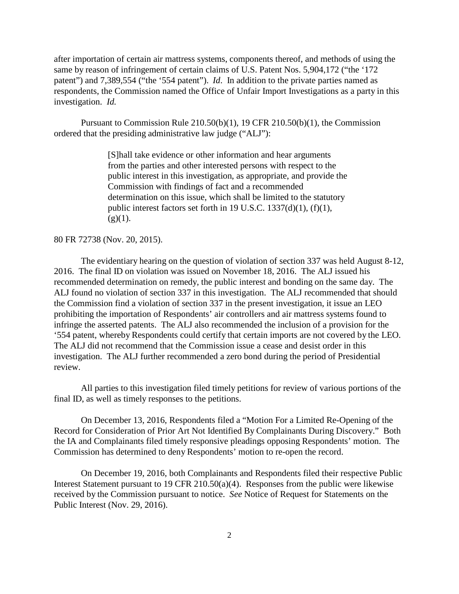after importation of certain air mattress systems, components thereof, and methods of using the same by reason of infringement of certain claims of U.S. Patent Nos. 5,904,172 ("the '172 patent") and 7,389,554 ("the '554 patent"). *Id*. In addition to the private parties named as respondents, the Commission named the Office of Unfair Import Investigations as a party in this investigation. *Id.*

Pursuant to Commission Rule 210.50(b)(1), 19 CFR 210.50(b)(1), the Commission ordered that the presiding administrative law judge ("ALJ"):

> [S]hall take evidence or other information and hear arguments from the parties and other interested persons with respect to the public interest in this investigation, as appropriate, and provide the Commission with findings of fact and a recommended determination on this issue, which shall be limited to the statutory public interest factors set forth in 19 U.S.C. 1337(d)(1), (f)(1),  $(g)(1)$ .

80 FR 72738 (Nov. 20, 2015).

The evidentiary hearing on the question of violation of section 337 was held August 8-12, 2016. The final ID on violation was issued on November 18, 2016. The ALJ issued his recommended determination on remedy, the public interest and bonding on the same day. The ALJ found no violation of section 337 in this investigation. The ALJ recommended that should the Commission find a violation of section 337 in the present investigation, it issue an LEO prohibiting the importation of Respondents' air controllers and air mattress systems found to infringe the asserted patents. The ALJ also recommended the inclusion of a provision for the '554 patent, whereby Respondents could certify that certain imports are not covered by the LEO. The ALJ did not recommend that the Commission issue a cease and desist order in this investigation. The ALJ further recommended a zero bond during the period of Presidential review.

All parties to this investigation filed timely petitions for review of various portions of the final ID, as well as timely responses to the petitions.

On December 13, 2016, Respondents filed a "Motion For a Limited Re-Opening of the Record for Consideration of Prior Art Not Identified By Complainants During Discovery." Both the IA and Complainants filed timely responsive pleadings opposing Respondents' motion. The Commission has determined to deny Respondents' motion to re-open the record.

On December 19, 2016, both Complainants and Respondents filed their respective Public Interest Statement pursuant to 19 CFR 210.50(a)(4). Responses from the public were likewise received by the Commission pursuant to notice. *See* Notice of Request for Statements on the Public Interest (Nov. 29, 2016).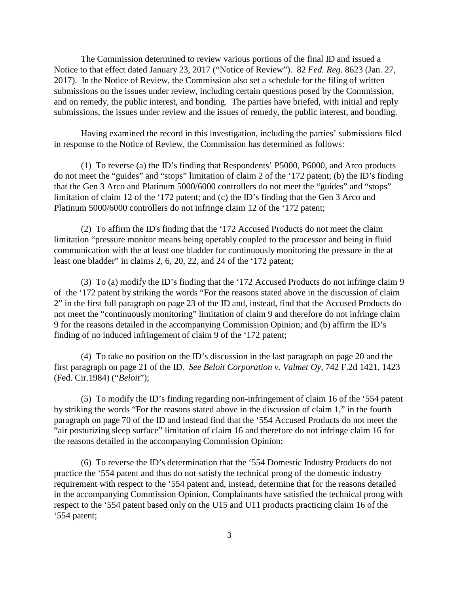The Commission determined to review various portions of the final ID and issued a Notice to that effect dated January 23, 2017 ("Notice of Review"). 82 *Fed. Reg*. 8623 (Jan. 27, 2017). In the Notice of Review, the Commission also set a schedule for the filing of written submissions on the issues under review, including certain questions posed by the Commission, and on remedy, the public interest, and bonding. The parties have briefed, with initial and reply submissions, the issues under review and the issues of remedy, the public interest, and bonding.

Having examined the record in this investigation, including the parties' submissions filed in response to the Notice of Review, the Commission has determined as follows:

(1) To reverse (a) the ID's finding that Respondents' P5000, P6000, and Arco products do not meet the "guides" and "stops" limitation of claim 2 of the '172 patent; (b) the ID's finding that the Gen 3 Arco and Platinum 5000/6000 controllers do not meet the "guides" and "stops" limitation of claim 12 of the '172 patent; and (c) the ID's finding that the Gen 3 Arco and Platinum 5000/6000 controllers do not infringe claim 12 of the '172 patent;

(2) To affirm the ID's finding that the '172 Accused Products do not meet the claim limitation "pressure monitor means being operably coupled to the processor and being in fluid communication with the at least one bladder for continuously monitoring the pressure in the at least one bladder" in claims 2, 6, 20, 22, and 24 of the '172 patent;

(3) To (a) modify the ID's finding that the '172 Accused Products do not infringe claim 9 of the '172 patent by striking the words "For the reasons stated above in the discussion of claim 2" in the first full paragraph on page 23 of the ID and, instead, find that the Accused Products do not meet the "continuously monitoring" limitation of claim 9 and therefore do not infringe claim 9 for the reasons detailed in the accompanying Commission Opinion; and (b) affirm the ID's finding of no induced infringement of claim 9 of the '172 patent;

(4) To take no position on the ID's discussion in the last paragraph on page 20 and the first paragraph on page 21 of the ID. *See Beloit Corporation v. Valmet Oy*, 742 F.2d 1421, 1423 (Fed. Cir.1984) ("*Beloit*");

(5) To modify the ID's finding regarding non-infringement of claim 16 of the '554 patent by striking the words "For the reasons stated above in the discussion of claim 1," in the fourth paragraph on page 70 of the ID and instead find that the '554 Accused Products do not meet the "air posturizing sleep surface" limitation of claim 16 and therefore do not infringe claim 16 for the reasons detailed in the accompanying Commission Opinion;

(6) To reverse the ID's determination that the '554 Domestic Industry Products do not practice the '554 patent and thus do not satisfy the technical prong of the domestic industry requirement with respect to the '554 patent and, instead, determine that for the reasons detailed in the accompanying Commission Opinion, Complainants have satisfied the technical prong with respect to the '554 patent based only on the U15 and U11 products practicing claim 16 of the '554 patent;